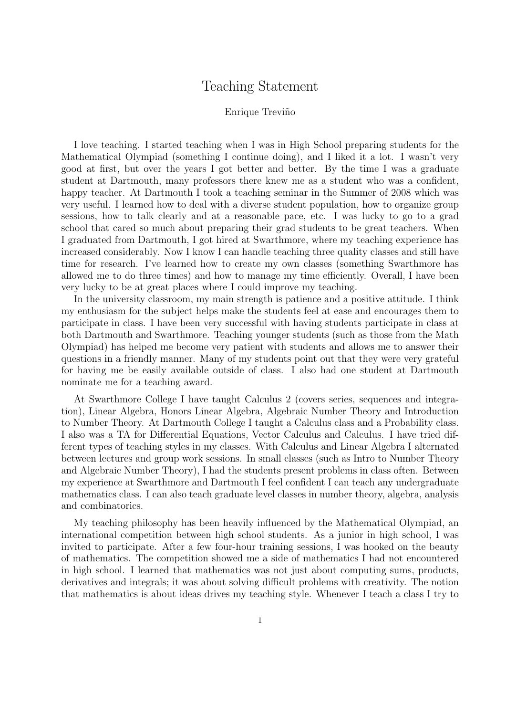## Teaching Statement

## Enrique Treviño

I love teaching. I started teaching when I was in High School preparing students for the Mathematical Olympiad (something I continue doing), and I liked it a lot. I wasn't very good at first, but over the years I got better and better. By the time I was a graduate student at Dartmouth, many professors there knew me as a student who was a confident, happy teacher. At Dartmouth I took a teaching seminar in the Summer of 2008 which was very useful. I learned how to deal with a diverse student population, how to organize group sessions, how to talk clearly and at a reasonable pace, etc. I was lucky to go to a grad school that cared so much about preparing their grad students to be great teachers. When I graduated from Dartmouth, I got hired at Swarthmore, where my teaching experience has increased considerably. Now I know I can handle teaching three quality classes and still have time for research. I've learned how to create my own classes (something Swarthmore has allowed me to do three times) and how to manage my time efficiently. Overall, I have been very lucky to be at great places where I could improve my teaching.

In the university classroom, my main strength is patience and a positive attitude. I think my enthusiasm for the subject helps make the students feel at ease and encourages them to participate in class. I have been very successful with having students participate in class at both Dartmouth and Swarthmore. Teaching younger students (such as those from the Math Olympiad) has helped me become very patient with students and allows me to answer their questions in a friendly manner. Many of my students point out that they were very grateful for having me be easily available outside of class. I also had one student at Dartmouth nominate me for a teaching award.

At Swarthmore College I have taught Calculus 2 (covers series, sequences and integration), Linear Algebra, Honors Linear Algebra, Algebraic Number Theory and Introduction to Number Theory. At Dartmouth College I taught a Calculus class and a Probability class. I also was a TA for Differential Equations, Vector Calculus and Calculus. I have tried different types of teaching styles in my classes. With Calculus and Linear Algebra I alternated between lectures and group work sessions. In small classes (such as Intro to Number Theory and Algebraic Number Theory), I had the students present problems in class often. Between my experience at Swarthmore and Dartmouth I feel confident I can teach any undergraduate mathematics class. I can also teach graduate level classes in number theory, algebra, analysis and combinatorics.

My teaching philosophy has been heavily influenced by the Mathematical Olympiad, an international competition between high school students. As a junior in high school, I was invited to participate. After a few four-hour training sessions, I was hooked on the beauty of mathematics. The competition showed me a side of mathematics I had not encountered in high school. I learned that mathematics was not just about computing sums, products, derivatives and integrals; it was about solving difficult problems with creativity. The notion that mathematics is about ideas drives my teaching style. Whenever I teach a class I try to